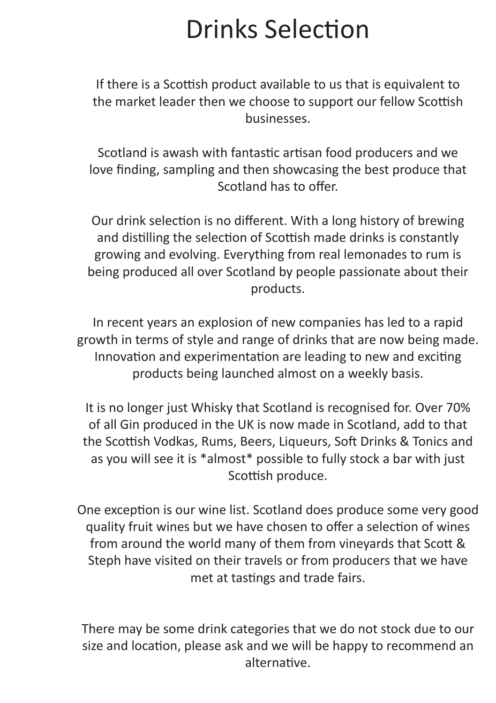# Drinks Selection

If there is a Scottish product available to us that is equivalent to the market leader then we choose to support our fellow Scottish businesses.

Scotland is awash with fantastic artisan food producers and we love finding, sampling and then showcasing the best produce that Scotland has to offer.

Our drink selection is no different. With a long history of brewing and distilling the selection of Scottish made drinks is constantly growing and evolving. Everything from real lemonades to rum is being produced all over Scotland by people passionate about their products.

In recent years an explosion of new companies has led to a rapid growth in terms of style and range of drinks that are now being made. Innovation and experimentation are leading to new and exciting products being launched almost on a weekly basis.

It is no longer just Whisky that Scotland is recognised for. Over 70% of all Gin produced in the UK is now made in Scotland, add to that the Scottish Vodkas, Rums, Beers, Liqueurs, Soft Drinks & Tonics and as you will see it is \*almost\* possible to fully stock a bar with just Scottish produce.

One exception is our wine list. Scotland does produce some very good quality fruit wines but we have chosen to offer a selection of wines from around the world many of them from vineyards that Scott & Steph have visited on their travels or from producers that we have met at tastings and trade fairs.

There may be some drink categories that we do not stock due to our size and location, please ask and we will be happy to recommend an alternative.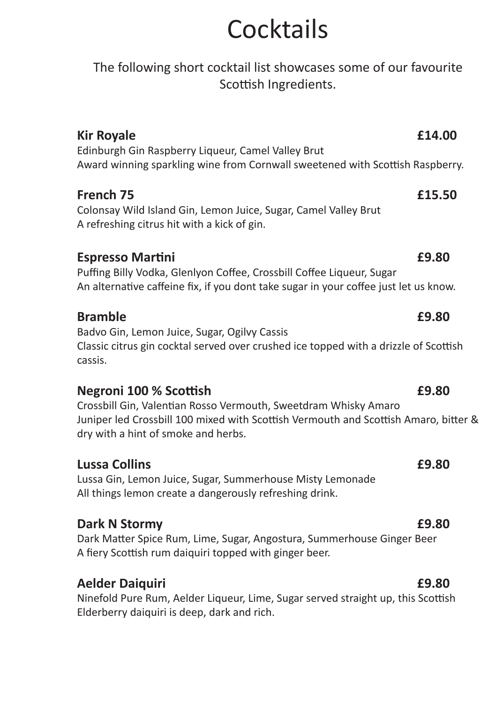# **Cocktails**

The following short cocktail list showcases some of our favourite Scottish Ingredients. **Kir Royale E14.00** Edinburgh Gin Raspberry Liqueur, Camel Valley Brut Award winning sparkling wine from Cornwall sweetened with Scottish Raspberry. **French 75****£15.50** Colonsay Wild Island Gin, Lemon Juice, Sugar, Camel Valley Brut A refreshing citrus hit with a kick of gin. **Espresso Martini****£9.80** Puffing Billy Vodka, Glenlyon Coffee, Crossbill Coffee Liqueur, Sugar An alternative caffeine fix, if you dont take sugar in your coffee just let us know. **Bramble £9.80** Badvo Gin, Lemon Juice, Sugar, Ogilvy Cassis Classic citrus gin cocktal served over crushed ice topped with a drizzle of Scottish cassis. **Negroni 100 % Scottish****£9.80** Crossbill Gin, Valentian Rosso Vermouth, Sweetdram Whisky Amaro Juniper led Crossbill 100 mixed with Scottish Vermouth and Scottish Amaro, bitter & dry with a hint of smoke and herbs. **Lussa Collins £9.80** Lussa Gin, Lemon Juice, Sugar, Summerhouse Misty Lemonade All things lemon create a dangerously refreshing drink. **Dark N Stormy E9.80** Dark Matter Spice Rum, Lime, Sugar, Angostura, Summerhouse Ginger Beer A fiery Scottish rum daiquiri topped with ginger beer. **Aelder Daiquiri £9.80**

Ninefold Pure Rum, Aelder Liqueur, Lime, Sugar served straight up, this Scottish Elderberry daiquiri is deep, dark and rich.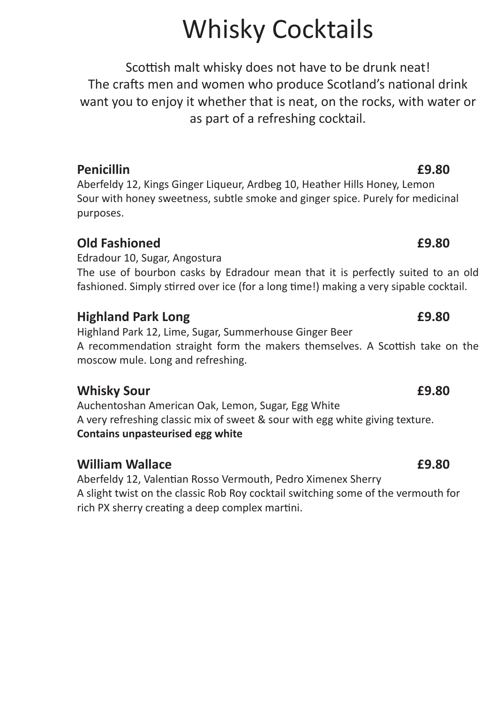# Whisky Cocktails

Scottish malt whisky does not have to be drunk neat! The crafts men and women who produce Scotland's national drink want you to enjoy it whether that is neat, on the rocks, with water or as part of a refreshing cocktail.

## **Penicillin £9.80**

Aberfeldy 12, Kings Ginger Liqueur, Ardbeg 10, Heather Hills Honey, Lemon Sour with honey sweetness, subtle smoke and ginger spice. Purely for medicinal purposes.

## **Old Fashioned £9.80**

Edradour 10, Sugar, Angostura The use of bourbon casks by Edradour mean that it is perfectly suited to an old fashioned. Simply stirred over ice (for a long time!) making a very sipable cocktail.

## **Highland Park Long £9.80**

Highland Park 12, Lime, Sugar, Summerhouse Ginger Beer A recommendation straight form the makers themselves. A Scottish take on the moscow mule. Long and refreshing.

### **Whisky Sour £9.80**

Auchentoshan American Oak, Lemon, Sugar, Egg White A very refreshing classic mix of sweet & sour with egg white giving texture. **Contains unpasteurised egg white**

## **William Wallace £9.80**

Aberfeldy 12, Valentian Rosso Vermouth, Pedro Ximenex Sherry A slight twist on the classic Rob Roy cocktail switching some of the vermouth for rich PX sherry creating a deep complex martini.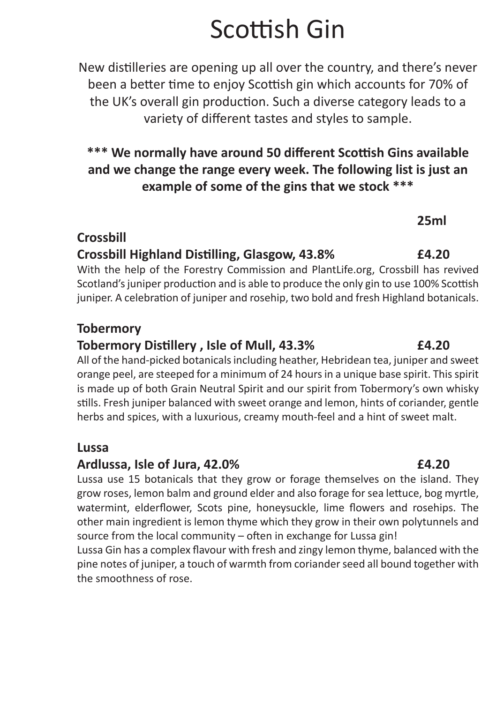# Scottish Gin

New distilleries are opening up all over the country, and there's never been a better time to enjoy Scottish gin which accounts for 70% of the UK's overall gin production. Such a diverse category leads to a variety of different tastes and styles to sample.

## **\*\*\* We normally have around 50 different Scottish Gins available and we change the range every week. The following list is just an example of some of the gins that we stock \*\*\***

## **Crossbill**

## **Crossbill Highland Distilling, Glasgow, 43.8% £4.20**

With the help of the Forestry Commission and PlantLife.org, Crossbill has revived Scotland's juniper production and is able to produce the only gin to use 100% Scottish juniper. A celebration of juniper and rosehip, two bold and fresh Highland botanicals.

### **Tobermory**

## **Tobermory Distillery , Isle of Mull, 43.3%****£4.20**

All of the hand-picked botanicals including heather, Hebridean tea, juniper and sweet orange peel, are steeped for a minimum of 24 hours in a unique base spirit. This spirit is made up of both Grain Neutral Spirit and our spirit from Tobermory's own whisky stills. Fresh juniper balanced with sweet orange and lemon, hints of coriander, gentle herbs and spices, with a luxurious, creamy mouth-feel and a hint of sweet malt.

### **Lussa**

## **Ardlussa, Isle of Jura, 42.0%****£4.20**

Lussa use 15 botanicals that they grow or forage themselves on the island. They grow roses, lemon balm and ground elder and also forage for sea lettuce, bog myrtle, watermint, elderflower, Scots pine, honeysuckle, lime flowers and rosehips. The other main ingredient is lemon thyme which they grow in their own polytunnels and source from the local community – often in exchange for Lussa gin!

Lussa Gin has a complex flavour with fresh and zingy lemon thyme, balanced with the pine notes of juniper, a touch of warmth from coriander seed all bound together with the smoothness of rose.

### **25ml**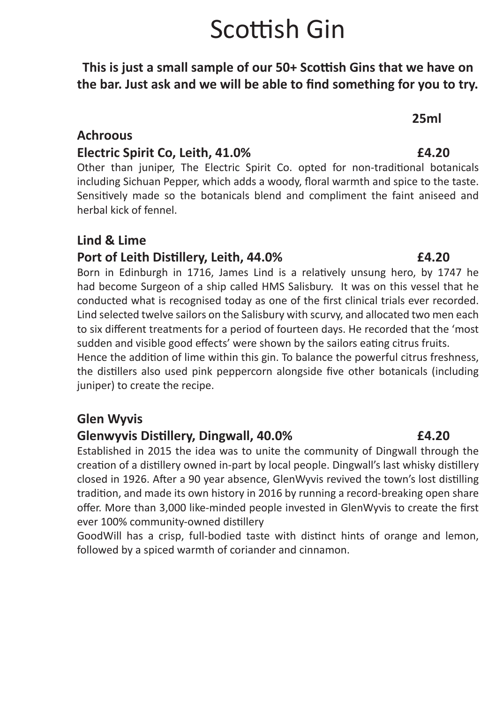# Scottish Gin

**This is just a small sample of our 50+ Scottish Gins that we have on the bar. Just ask and we will be able to find something for you to try.**

**25ml**

### **Achroous**

### **Electric Spirit Co, Leith, 41.0%****£4.20**

Other than juniper, The Electric Spirit Co. opted for non-traditional botanicals including Sichuan Pepper, which adds a woody, floral warmth and spice to the taste. Sensitively made so the botanicals blend and compliment the faint aniseed and herbal kick of fennel.

### **Lind & Lime**

### **Port of Leith Distillery, Leith, 44.0%****£4.20**

Born in Edinburgh in 1716, James Lind is a relatively unsung hero, by 1747 he had become Surgeon of a ship called HMS Salisbury. It was on this vessel that he conducted what is recognised today as one of the first clinical trials ever recorded. Lind selected twelve sailors on the Salisbury with scurvy, and allocated two men each to six different treatments for a period of fourteen days. He recorded that the 'most sudden and visible good effects' were shown by the sailors eating citrus fruits.

Hence the addition of lime within this gin. To balance the powerful citrus freshness, the distillers also used pink peppercorn alongside five other botanicals (including juniper) to create the recipe.

### **Glen Wyvis**

### **Glenwyvis Distillery, Dingwall, 40.0%****£4.20**

Established in 2015 the idea was to unite the community of Dingwall through the creation of a distillery owned in-part by local people. Dingwall's last whisky distillery closed in 1926. After a 90 year absence, GlenWyvis revived the town's lost distilling tradition, and made its own history in 2016 by running a record-breaking open share offer. More than 3,000 like-minded people invested in GlenWyvis to create the first ever 100% community-owned distillery

GoodWill has a crisp, full-bodied taste with distinct hints of orange and lemon, followed by a spiced warmth of coriander and cinnamon.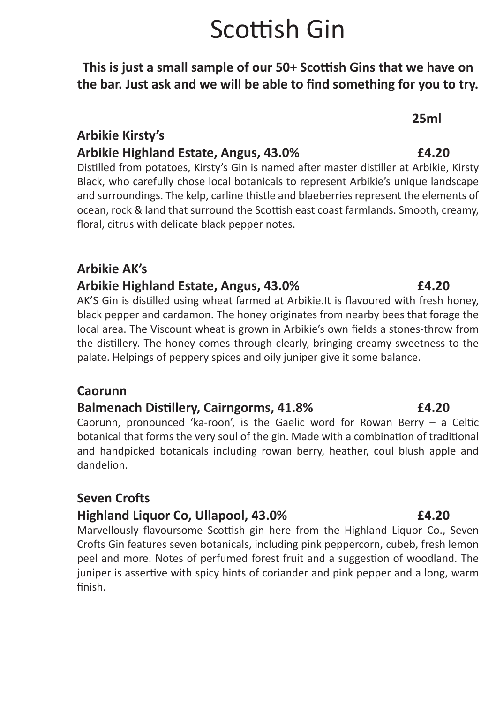# Scottish Gin

**This is just a small sample of our 50+ Scottish Gins that we have on the bar. Just ask and we will be able to find something for you to try.**

**25ml**

### **Arbikie Kirsty's Arbikie Highland Estate, Angus, 43.0%****£4.20**

Distilled from potatoes, Kirsty's Gin is named after master distiller at Arbikie, Kirsty Black, who carefully chose local botanicals to represent Arbikie's unique landscape and surroundings. The kelp, carline thistle and blaeberries represent the elements of ocean, rock & land that surround the Scottish east coast farmlands. Smooth, creamy, floral, citrus with delicate black pepper notes.

### **Arbikie AK's**

### **Arbikie Highland Estate, Angus, 43.0%****£4.20**

AK'S Gin is distilled using wheat farmed at Arbikie.It is flavoured with fresh honey, black pepper and cardamon. The honey originates from nearby bees that forage the local area. The Viscount wheat is grown in Arbikie's own fields a stones-throw from the distillery. The honey comes through clearly, bringing creamy sweetness to the palate. Helpings of peppery spices and oily juniper give it some balance.

### **Caorunn**

### **Balmenach Distillery, Cairngorms, 41.8%****£4.20**

Caorunn, pronounced 'ka-roon', is the Gaelic word for Rowan Berry – a Celtic botanical that forms the very soul of the gin. Made with a combination of traditional and handpicked botanicals including rowan berry, heather, coul blush apple and dandelion.

## **Seven Crofts**

### **Highland Liquor Co, Ullapool, 43.0%****£4.20**

Marvellously flavoursome Scottish gin here from the Highland Liquor Co., Seven Crofts Gin features seven botanicals, including pink peppercorn, cubeb, fresh lemon peel and more. Notes of perfumed forest fruit and a suggestion of woodland. The juniper is assertive with spicy hints of coriander and pink pepper and a long, warm finish.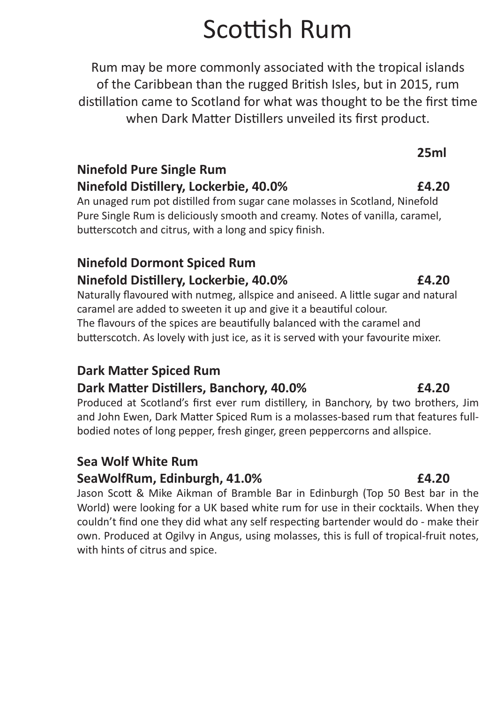# Scottish Rum

Rum may be more commonly associated with the tropical islands of the Caribbean than the rugged British Isles, but in 2015, rum distillation came to Scotland for what was thought to be the first time when Dark Matter Distillers unveiled its first product.

## **25ml Ninefold Pure Single Rum Ninefold Distillery, Lockerbie, 40.0%****£4.20**

An unaged rum pot distilled from sugar cane molasses in Scotland, Ninefold Pure Single Rum is deliciously smooth and creamy. Notes of vanilla, caramel, butterscotch and citrus, with a long and spicy finish.

## **Ninefold Dormont Spiced Rum Ninefold Distillery, Lockerbie, 40.0%****£4.20**

Naturally flavoured with nutmeg, allspice and aniseed. A little sugar and natural caramel are added to sweeten it up and give it a beautiful colour. The flavours of the spices are beautifully balanced with the caramel and butterscotch. As lovely with just ice, as it is served with your favourite mixer.

## **Dark Matter Spiced Rum**

## **Dark Matter Distillers, Banchory, 40.0% £4.20**

Produced at Scotland's first ever rum distillery, in Banchory, by two brothers, Jim and John Ewen, Dark Matter Spiced Rum is a molasses-based rum that features fullbodied notes of long pepper, fresh ginger, green peppercorns and allspice.

## **Sea Wolf White Rum**

### **SeaWolfRum, Edinburgh, 41.0%****£4.20**

Jason Scott & Mike Aikman of Bramble Bar in Edinburgh (Top 50 Best bar in the World) were looking for a UK based white rum for use in their cocktails. When they couldn't find one they did what any self respecting bartender would do - make their own. Produced at Ogilvy in Angus, using molasses, this is full of tropical-fruit notes, with hints of citrus and spice.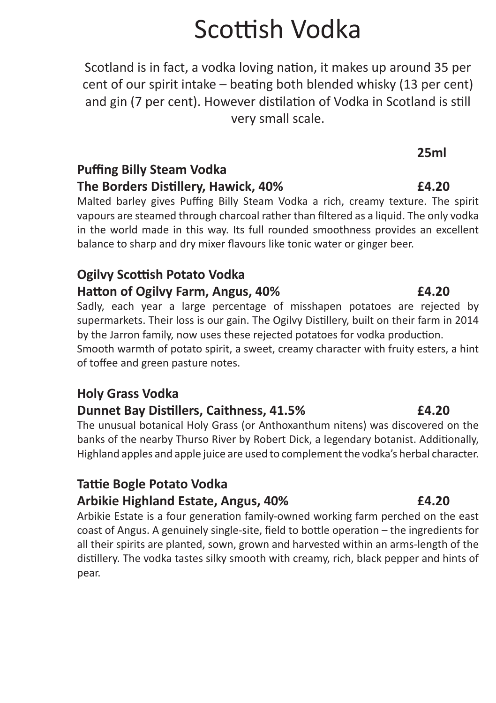# Scottish Vodka

Scotland is in fact, a vodka loving nation, it makes up around 35 per cent of our spirit intake – beating both blended whisky (13 per cent) and gin (7 per cent). However distilation of Vodka in Scotland is still very small scale.

## **25ml Puffing Billy Steam Vodka The Borders Distillery, Hawick, 40%****£4.20**

Malted barley gives Puffing Billy Steam Vodka a rich, creamy texture. The spirit vapours are steamed through charcoal rather than filtered as a liquid. The only vodka in the world made in this way. Its full rounded smoothness provides an excellent balance to sharp and dry mixer flavours like tonic water or ginger beer.

## **Ogilvy Scottish Potato Vodka Hatton of Ogilvy Farm, Angus, 40%****£4.20**

Sadly, each year a large percentage of misshapen potatoes are rejected by supermarkets. Their loss is our gain. The Ogilvy Distillery, built on their farm in 2014 by the Jarron family, now uses these rejected potatoes for vodka production.

Smooth warmth of potato spirit, a sweet, creamy character with fruity esters, a hint of toffee and green pasture notes.

## **Holy Grass Vodka**

## **Dunnet Bay Distillers, Caithness, 41.5%****£4.20**

The unusual botanical Holy Grass (or Anthoxanthum nitens) was discovered on the banks of the nearby Thurso River by Robert Dick, a legendary botanist. Additionally, Highland apples and apple juice are used to complement the vodka's herbal character.

## **Tattie Bogle Potato Vodka Arbikie Highland Estate, Angus, 40%****£4.20**

Arbikie Estate is a four generation family-owned working farm perched on the east coast of Angus. A genuinely single-site, field to bottle operation – the ingredients for all their spirits are planted, sown, grown and harvested within an arms-length of the distillery. The vodka tastes silky smooth with creamy, rich, black pepper and hints of pear.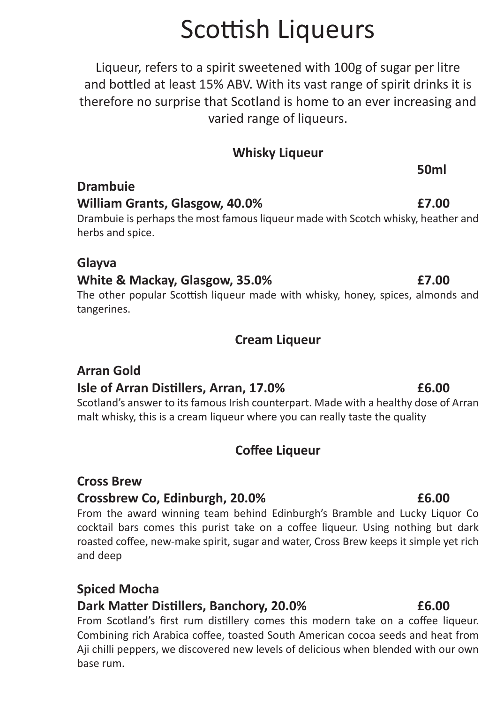# Scottish Liqueurs

Liqueur, refers to a spirit sweetened with 100g of sugar per litre and bottled at least 15% ABV. With its vast range of spirit drinks it is therefore no surprise that Scotland is home to an ever increasing and varied range of liqueurs.

### **Whisky Liqueur**

## **William Grants, Glasgow, 40.0%****£7.00**

Drambuie is perhaps the most famous liqueur made with Scotch whisky, heather and herbs and spice.

### **Glayva**

**Drambuie**

### **White & Mackay, Glasgow, 35.0%****£7.00**

The other popular Scottish liqueur made with whisky, honey, spices, almonds and tangerines.

### **Cream Liqueur**

## **Arran Gold**

### **Isle of Arran Distillers, Arran, 17.0%****£6.00**

Scotland's answer to its famous Irish counterpart. Made with a healthy dose of Arran malt whisky, this is a cream liqueur where you can really taste the quality

## **Coffee Liqueur**

### **Cross Brew**

### **Crossbrew Co, Edinburgh, 20.0%****£6.00**

From the award winning team behind Edinburgh's Bramble and Lucky Liquor Co cocktail bars comes this purist take on a coffee liqueur. Using nothing but dark roasted coffee, new-make spirit, sugar and water, Cross Brew keeps it simple yet rich and deep

## **Spiced Mocha**

### **Dark Matter Distillers, Banchory, 20.0% £6.00**

From Scotland's first rum distillery comes this modern take on a coffee liqueur. Combining rich Arabica coffee, toasted South American cocoa seeds and heat from Aji chilli peppers, we discovered new levels of delicious when blended with our own base rum.

المستخدم العالمية المستخدم المستخدم المستخدم المستخدم المستخدم المستخدم المستخدم المستخدم المستخدم المستخدم ال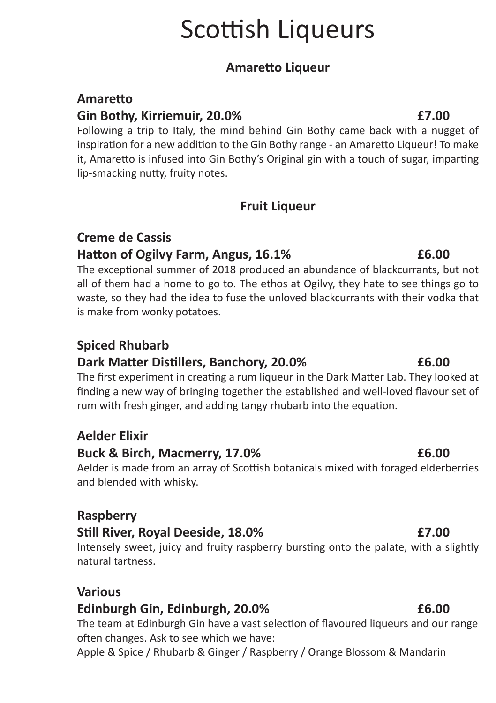# Scottish Liqueurs

### **Amaretto Liqueur**

### **Amaretto**

### **Gin Bothy, Kirriemuir, 20.0%****£7.00**

Following a trip to Italy, the mind behind Gin Bothy came back with a nugget of inspiration for a new addition to the Gin Bothy range - an Amaretto Liqueur! To make it, Amaretto is infused into Gin Bothy's Original gin with a touch of sugar, imparting lip-smacking nutty, fruity notes.

### **Fruit Liqueur**

### **Creme de Cassis**

### **Hatton of Ogilvy Farm, Angus, 16.1%****£6.00**

The exceptional summer of 2018 produced an abundance of blackcurrants, but not all of them had a home to go to. The ethos at Ogilvy, they hate to see things go to waste, so they had the idea to fuse the unloved blackcurrants with their vodka that is make from wonky potatoes.

## **Spiced Rhubarb**

### **Dark Matter Distillers, Banchory, 20.0% £6.00**

The first experiment in creating a rum liqueur in the Dark Matter Lab. They looked at finding a new way of bringing together the established and well-loved flavour set of rum with fresh ginger, and adding tangy rhubarb into the equation.

## **Aelder Elixir**

### **Buck & Birch, Macmerry, 17.0%****£6.00**

Aelder is made from an array of Scottish botanicals mixed with foraged elderberries and blended with whisky.

### **Raspberry**

## **Still River, Royal Deeside, 18.0%****£7.00**

Intensely sweet, juicy and fruity raspberry bursting onto the palate, with a slightly natural tartness.

### **Various**

### **Edinburgh Gin, Edinburgh, 20.0%****£6.00**

The team at Edinburgh Gin have a vast selection of flavoured liqueurs and our range often changes. Ask to see which we have:

Apple & Spice / Rhubarb & Ginger / Raspberry / Orange Blossom & Mandarin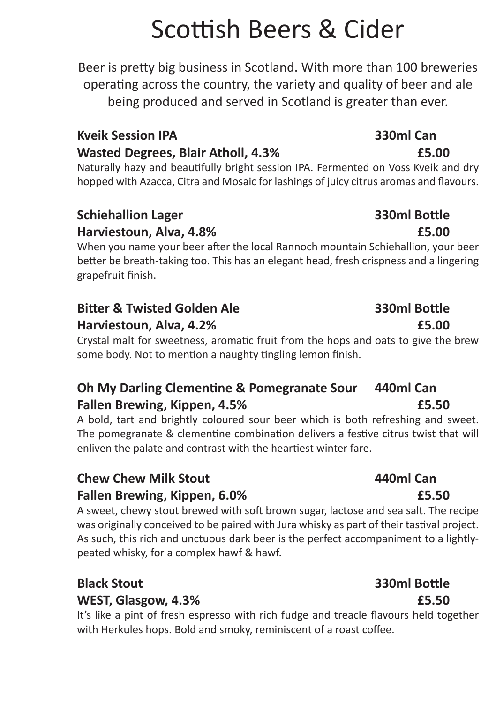# Scottish Beers & Cider

Beer is pretty big business in Scotland. With more than 100 breweries operating across the country, the variety and quality of beer and ale being produced and served in Scotland is greater than ever.

## **Kveik Session IPA 330ml Can Wasted Degrees, Blair Atholl, 4.3%****£5.00**

Naturally hazy and beautifully bright session IPA. Fermented on Voss Kveik and dry hopped with Azacca, Citra and Mosaic for lashings of juicy citrus aromas and flavours.

## **Schiehallion Lager 330ml Bottle Harviestoun, Alva, 4.8%****£5.00**

When you name your beer after the local Rannoch mountain Schiehallion, your beer better be breath-taking too. This has an elegant head, fresh crispness and a lingering grapefruit finish.

## **Bitter & Twisted Golden Ale 330ml Bottle**

## **Harviestoun, Alva, 4.2%****£5.00**

Crystal malt for sweetness, aromatic fruit from the hops and oats to give the brew some body. Not to mention a naughty tingling lemon finish.

## **Oh My Darling Clementine & Pomegranate Sour 440ml Can Fallen Brewing, Kippen, 4.5%****£5.50**

A bold, tart and brightly coloured sour beer which is both refreshing and sweet. The pomegranate & clementine combination delivers a festive citrus twist that will enliven the palate and contrast with the heartiest winter fare.

## **Chew Chew Milk Stout 440ml Can Fallen Brewing, Kippen, 6.0%****£5.50**

A sweet, chewy stout brewed with soft brown sugar, lactose and sea salt. The recipe was originally conceived to be paired with Jura whisky as part of their tastival project. As such, this rich and unctuous dark beer is the perfect accompaniment to a lightlypeated whisky, for a complex hawf & hawf.

## **Black Stout 330ml Bottle WEST, Glasgow, 4.3%****£5.50**

It's like a pint of fresh espresso with rich fudge and treacle flavours held together with Herkules hops. Bold and smoky, reminiscent of a roast coffee.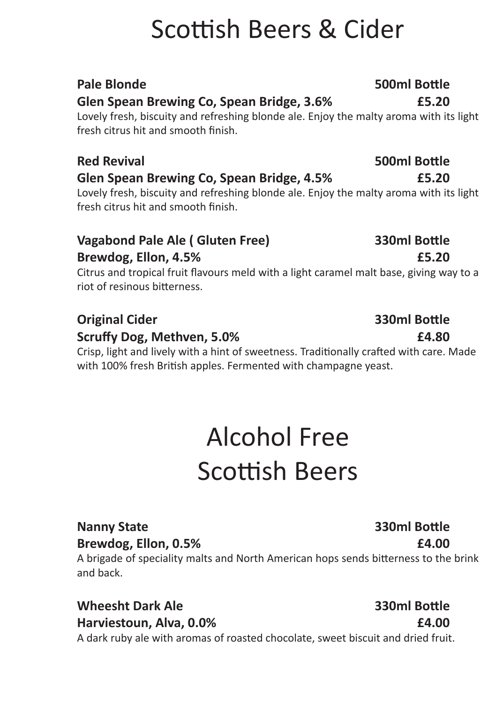# Scottish Beers & Cider

### **Pale Blonde 500ml Bottle Glen Spean Brewing Co, Spean Bridge, 3.6% £5.20**

Lovely fresh, biscuity and refreshing blonde ale. Enjoy the malty aroma with its light fresh citrus hit and smooth finish.

## **Glen Spean Brewing Co, Spean Bridge, 4.5% £5.20**

Lovely fresh, biscuity and refreshing blonde ale. Enjoy the malty aroma with its light fresh citrus hit and smooth finish.

### **Vagabond Pale Ale ( Gluten Free) 330ml Bottle Brewdog, Ellon, 4.5%****£5.20**

Citrus and tropical fruit flavours meld with a light caramel malt base, giving way to a riot of resinous bitterness.

## **Original Cider 330ml Bottle**

### **Scruffy Dog, Methven, 5.0%****£4.80**

Crisp, light and lively with a hint of sweetness. Traditionally crafted with care. Made with 100% fresh British apples. Fermented with champagne yeast.

# Alcohol Free Scottish Beers

## **Nanny State 330ml Bottle**

## **Brewdog, Ellon, 0.5%****£4.00**

A brigade of speciality malts and North American hops sends bitterness to the brink and back.

### **Wheesht Dark Ale 330ml Bottle Harviestoun, Alva, 0.0%****£4.00**

A dark ruby ale with aromas of roasted chocolate, sweet biscuit and dried fruit.

## **Red Revival 500ml Bottle**

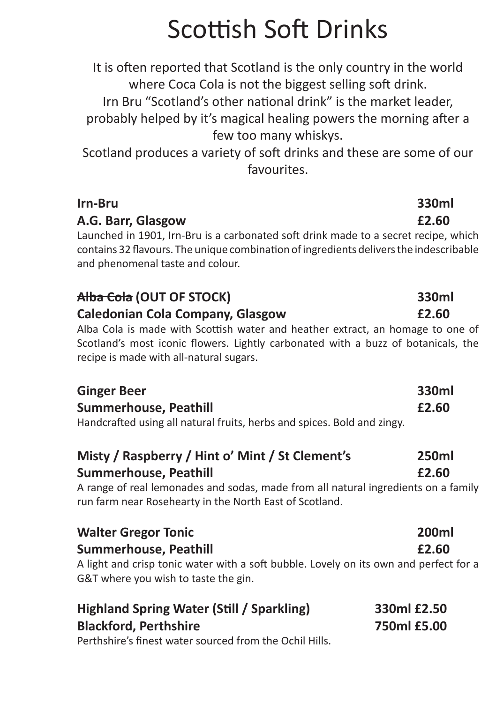# Scottish Soft Drinks

It is often reported that Scotland is the only country in the world where Coca Cola is not the biggest selling soft drink.

Irn Bru "Scotland's other national drink" is the market leader, probably helped by it's magical healing powers the morning after a

few too many whiskys.

Scotland produces a variety of soft drinks and these are some of our favourites.

| Irn-Bru                                                                                                                                                                                                           | 330ml |
|-------------------------------------------------------------------------------------------------------------------------------------------------------------------------------------------------------------------|-------|
| A.G. Barr, Glasgow                                                                                                                                                                                                | £2.60 |
| Launched in 1901, Irn-Bru is a carbonated soft drink made to a secret recipe, which<br>contains 32 flavours. The unique combination of ingredients delivers the indescribable<br>and phenomenal taste and colour. |       |
| <del>Alba Cola</del> (OUT OF STOCK)                                                                                                                                                                               | 330ml |
| <b>Caledonian Cola Company, Glasgow</b>                                                                                                                                                                           | £2.60 |
| Alba Cola is made with Scottish water and heather extract, an homage to one of                                                                                                                                    |       |

Scotland's most iconic flowers. Lightly carbonated with a buzz of botanicals, the recipe is made with all-natural sugars.

| <b>Ginger Beer</b>                                                      | 330ml |
|-------------------------------------------------------------------------|-------|
| <b>Summerhouse, Peathill</b>                                            | £2.60 |
| Handcrafted using all natural fruits, herbs and spices. Bold and zingy. |       |

## **Misty / Raspberry / Hint o' Mint / St Clement's 250ml Summerhouse, Peathill****£2.60**

A range of real lemonades and sodas, made from all natural ingredients on a family run farm near Rosehearty in the North East of Scotland.

| <b>Walter Gregor Tonic</b>                                                                                                    | <b>200ml</b> |
|-------------------------------------------------------------------------------------------------------------------------------|--------------|
| Summerhouse, Peathill                                                                                                         | £2.60        |
| A light and crisp tonic water with a soft bubble. Lovely on its own and perfect for a<br>G&T where you wish to taste the gin. |              |
| <b>Highland Spring Water (Still / Sparkling)</b>                                                                              | 330ml £2.50  |

| Highland Spring Water (Still / Sparkling)               | 330MI ±2.50 |
|---------------------------------------------------------|-------------|
| <b>Blackford, Perthshire</b>                            | 750ml £5.00 |
| Perthshire's finest water sourced from the Ochil Hills. |             |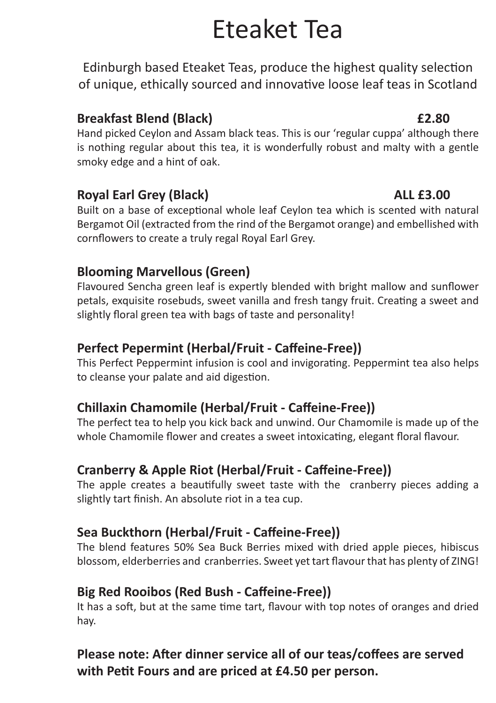# Eteaket Tea

Edinburgh based Eteaket Teas, produce the highest quality selection of unique, ethically sourced and innovative loose leaf teas in Scotland

### **Breakfast Blend (Black)****£2.80**

Hand picked Ceylon and Assam black teas. This is our 'regular cuppa' although there is nothing regular about this tea, it is wonderfully robust and malty with a gentle smoky edge and a hint of oak.

### **Royal Earl Grey (Black)****ALL £3.00**

Built on a base of exceptional whole leaf Ceylon tea which is scented with natural Bergamot Oil (extracted from the rind of the Bergamot orange) and embellished with cornflowers to create a truly regal Royal Earl Grey.

## **Blooming Marvellous (Green)**

Flavoured Sencha green leaf is expertly blended with bright mallow and sunflower petals, exquisite rosebuds, sweet vanilla and fresh tangy fruit. Creating a sweet and slightly floral green tea with bags of taste and personality!

## **Perfect Pepermint (Herbal/Fruit - Caffeine-Free))**

This Perfect Peppermint infusion is cool and invigorating. Peppermint tea also helps to cleanse your palate and aid digestion.

## **Chillaxin Chamomile (Herbal/Fruit - Caffeine-Free))**

The perfect tea to help you kick back and unwind. Our Chamomile is made up of the whole Chamomile flower and creates a sweet intoxicating, elegant floral flavour.

## **Cranberry & Apple Riot (Herbal/Fruit - Caffeine-Free))**

The apple creates a beautifully sweet taste with the cranberry pieces adding a slightly tart finish. An absolute riot in a tea cup.

## **Sea Buckthorn (Herbal/Fruit - Caffeine-Free))**

The blend features 50% Sea Buck Berries mixed with dried apple pieces, hibiscus blossom, elderberries and cranberries. Sweet yet tart flavour that has plenty of ZING!

### **Big Red Rooibos (Red Bush - Caffeine-Free))**

It has a soft, but at the same time tart, flavour with top notes of oranges and dried hay.

## **Please note: After dinner service all of our teas/coffees are served with Petit Fours and are priced at £4.50 per person.**